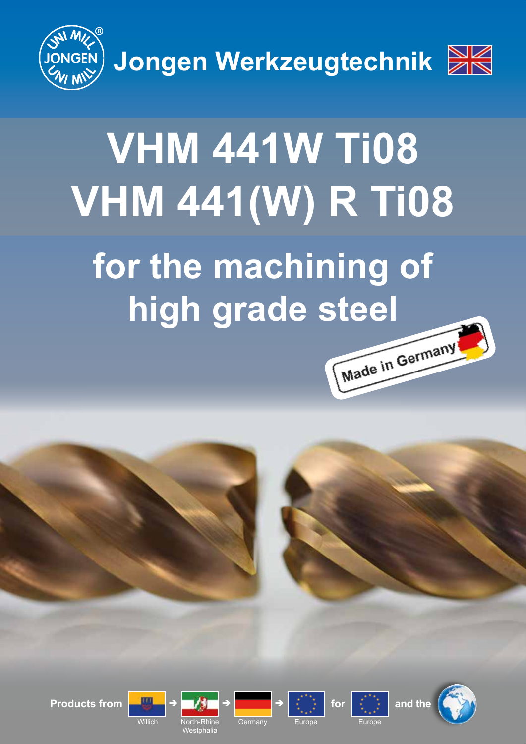



# **VHM 441W Ti08 VHM 441(W) R Ti08 for the machining of** high grade steel Made in Germany









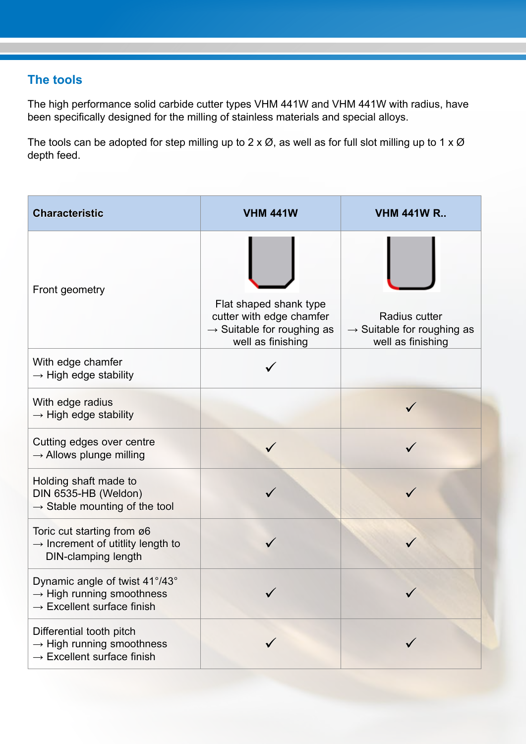#### **The tools**

The high performance solid carbide cutter types VHM 441W and VHM 441W with radius, have been specifically designed for the milling of stainless materials and special alloys.

The tools can be adopted for step milling up to 2 x  $\varnothing$ , as well as for full slot milling up to 1 x  $\varnothing$ depth feed.

| <b>Characteristic</b>                                                                                             | <b>VHM 441W</b>                                                                                                   | <b>VHM 441W R</b>                                                            |  |  |  |
|-------------------------------------------------------------------------------------------------------------------|-------------------------------------------------------------------------------------------------------------------|------------------------------------------------------------------------------|--|--|--|
| Front geometry                                                                                                    | Flat shaped shank type<br>cutter with edge chamfer<br>$\rightarrow$ Suitable for roughing as<br>well as finishing | Radius cutter<br>$\rightarrow$ Suitable for roughing as<br>well as finishing |  |  |  |
| With edge chamfer<br>$\rightarrow$ High edge stability                                                            |                                                                                                                   |                                                                              |  |  |  |
| With edge radius<br>$\rightarrow$ High edge stability                                                             |                                                                                                                   |                                                                              |  |  |  |
| Cutting edges over centre<br>$\rightarrow$ Allows plunge milling                                                  |                                                                                                                   |                                                                              |  |  |  |
| Holding shaft made to<br>DIN 6535-HB (Weldon)<br>$\rightarrow$ Stable mounting of the tool                        |                                                                                                                   |                                                                              |  |  |  |
| Toric cut starting from ø6<br>$\rightarrow$ Increment of utitlity length to<br><b>DIN-clamping length</b>         |                                                                                                                   |                                                                              |  |  |  |
| Dynamic angle of twist 41°/43°<br>$\rightarrow$ High running smoothness<br>$\rightarrow$ Excellent surface finish | $\sqrt{}$                                                                                                         | $\sqrt{}$                                                                    |  |  |  |
| Differential tooth pitch<br>$\rightarrow$ High running smoothness<br>$\rightarrow$ Excellent surface finish       |                                                                                                                   |                                                                              |  |  |  |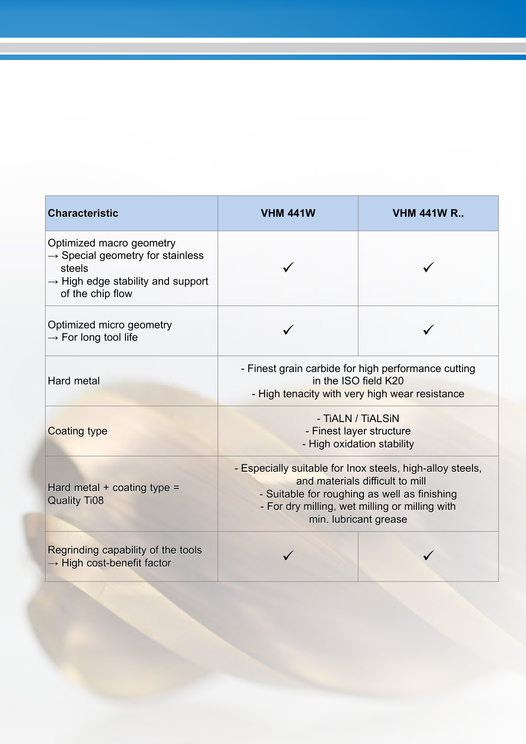| <b>Characteristic</b>                                                                                                                                   | <b>VHM 441W</b>                                                                                                                                                                                                         | <b>VHM 441W R</b>                                      |  |  |  |  |
|---------------------------------------------------------------------------------------------------------------------------------------------------------|-------------------------------------------------------------------------------------------------------------------------------------------------------------------------------------------------------------------------|--------------------------------------------------------|--|--|--|--|
| Optimized macro geometry<br>$\rightarrow$ Special geometry for stainless<br>steels<br>$\rightarrow$ High edge stability and support<br>of the chip flow |                                                                                                                                                                                                                         |                                                        |  |  |  |  |
| Optimized micro geometry<br>$\rightarrow$ For long tool life                                                                                            |                                                                                                                                                                                                                         |                                                        |  |  |  |  |
| Hard metal                                                                                                                                              | - Finest grain carbide for high performance cutting<br>in the ISO field K20<br>- High tenacity with very high wear resistance                                                                                           |                                                        |  |  |  |  |
| <b>Coating type</b>                                                                                                                                     | - TIALN / TIALSIN                                                                                                                                                                                                       | - Finest layer structure<br>- High oxidation stability |  |  |  |  |
| Hard metal $+$ coating type $=$<br><b>Quality Ti08</b>                                                                                                  | - Especially suitable for lnox steels, high-alloy steels,<br>and materials difficult to mill<br>- Suitable for roughing as well as finishing<br>- For dry milling, wet milling or milling with<br>min. lubricant grease |                                                        |  |  |  |  |
| Regrinding capability of the tools<br>$\rightarrow$ High cost-benefit factor                                                                            |                                                                                                                                                                                                                         |                                                        |  |  |  |  |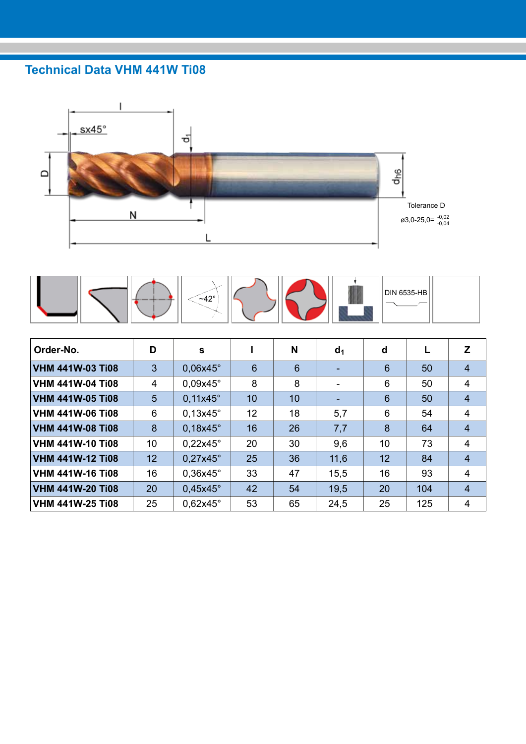#### **Technical Data VHM 441W Ti08**





| Order-No.               | D  | s               |                 | N  | d <sub>1</sub> | d               |     | Z              |
|-------------------------|----|-----------------|-----------------|----|----------------|-----------------|-----|----------------|
| <b>VHM 441W-03 Ti08</b> | 3  | 0,06x45°        | $6\phantom{1}$  | 6  | ٠              | $6\phantom{1}6$ | 50  | $\overline{4}$ |
| <b>VHM 441W-04 Ti08</b> | 4  | $0,09x45^\circ$ | 8               | 8  | ۰              | 6               | 50  | $\overline{4}$ |
| <b>VHM 441W-05 Ti08</b> | 5  | $0,11x45^\circ$ | 10              | 10 | ٠              | $6\phantom{1}6$ | 50  | $\overline{4}$ |
| <b>VHM 441W-06 Ti08</b> | 6  | $0,13x45^\circ$ | 12 <sup>2</sup> | 18 | 5,7            | 6               | 54  | $\overline{4}$ |
| <b>VHM 441W-08 Ti08</b> | 8  | $0,18x45^\circ$ | 16              | 26 | 7,7            | 8               | 64  | $\overline{4}$ |
| <b>VHM 441W-10 Ti08</b> | 10 | $0,22x45^\circ$ | 20              | 30 | 9,6            | 10              | 73  | $\overline{4}$ |
| <b>VHM 441W-12 Ti08</b> | 12 | $0,27x45^\circ$ | 25              | 36 | 11,6           | 12              | 84  | $\overline{4}$ |
| <b>VHM 441W-16 Ti08</b> | 16 | 0,36x45°        | 33              | 47 | 15,5           | 16              | 93  | 4              |
| <b>VHM 441W-20 Ti08</b> | 20 | $0,45x45^\circ$ | 42              | 54 | 19,5           | 20              | 104 | $\overline{4}$ |
| <b>VHM 441W-25 Ti08</b> | 25 | $0.62x45^\circ$ | 53              | 65 | 24,5           | 25              | 125 | 4              |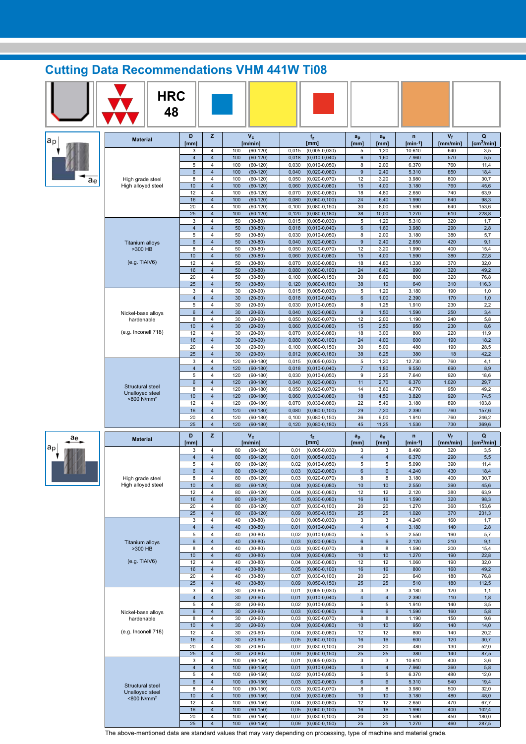| <b>Cutting Data Recommendations VHM 441W TIU8</b> |                                              |                            |                                           |            |                          |                |                                    |                       |                              |                           |                   |                             |
|---------------------------------------------------|----------------------------------------------|----------------------------|-------------------------------------------|------------|--------------------------|----------------|------------------------------------|-----------------------|------------------------------|---------------------------|-------------------|-----------------------------|
|                                                   | <b>HRC</b><br>48                             |                            |                                           |            |                          |                |                                    |                       |                              |                           |                   |                             |
| аp                                                | <b>Material</b>                              | D<br>[mm]                  | z                                         |            | $V_c$<br>[m/min]         |                | f <sub>z</sub><br>[mm]             | $a_p$<br>[mm]         | $a_e$<br>[mm]                | $\mathbf n$<br>$[min-1]$  | $V_f$<br>[mm/min] | Q<br>[cm <sup>3</sup> /min] |
|                                                   |                                              | 3<br>$\overline{4}$        | 4<br>$\overline{4}$                       | 100<br>100 | $(60-120)$<br>$(60-120)$ | 0,015<br>0,018 | $(0,005-0,030)$<br>$(0,010-0,040)$ | 5<br>$\boldsymbol{6}$ | 1,20<br>1,60                 | 10.610<br>7.960           | 640<br>570        | 3,5<br>5,5                  |
|                                                   |                                              | 5                          | $\overline{4}$                            | 100        | $(60-120)$               | 0,030          | $(0,010-0,050)$                    | 8                     | 2,00                         | 6.370                     | 760               | 11,4                        |
|                                                   |                                              | $6\phantom{.}$             | $\overline{4}$                            | 100        | $(60-120)$               | 0,040          | $(0,020-0,060)$                    | $9$                   | 2,40                         | 5.310                     | 850               | 18,4                        |
| ae                                                | High grade steel<br>High alloyed steel       | 8<br>10 <sup>1</sup>       | $\overline{4}$<br>$\overline{4}$          | 100<br>100 | $(60-120)$<br>$(60-120)$ | 0,050<br>0,060 | $(0,020-0,070)$<br>$(0,030-0,080)$ | 12<br>15              | 3,20<br>4,00                 | 3.980<br>3.180            | 800<br>760        | 30,7<br>45,6                |
|                                                   |                                              | 12                         | $\overline{4}$                            | 100        | $(60-120)$               | 0,070          | $(0,030-0,080)$                    | 18                    | 4,80                         | 2.650                     | 740               | 63,9                        |
|                                                   |                                              | 16                         | $\overline{4}$                            | 100        | $(60-120)$               | 0,080          | $(0,060-0,100)$                    | 24                    | 6,40                         | 1.990                     | 640               | 98,3                        |
|                                                   |                                              | 20<br>25                   | $\overline{4}$<br>$\overline{\mathbf{4}}$ | 100<br>100 | $(60-120)$<br>$(60-120)$ | 0,100<br>0,120 | $(0,080-0,150)$<br>$(0,080-0,180)$ | 30<br>38              | 8,00<br>10,00                | 1.590<br>1.270            | 640<br>610        | 153,6<br>228,8              |
|                                                   |                                              | 3                          | $\overline{4}$                            | 50         | $(30-80)$                | 0,015          | $(0,005-0,030)$                    | 5                     | 1,20                         | 5.310                     | 320               | 1,7                         |
|                                                   |                                              | $\overline{4}$             | $\overline{\mathbf{4}}$                   | 50         | $(30-80)$                | 0,018          | $(0,010-0,040)$                    | $\boldsymbol{6}$      | 1,60                         | 3.980                     | 290               | 2,8                         |
|                                                   |                                              | 5                          | $\overline{4}$                            | 50         | $(30-80)$                | 0,030          | $(0,010-0,050)$                    | 8                     | 2,00                         | 3.180                     | 380               | 5,7                         |
|                                                   | <b>Titanium alloys</b><br>>300 HB            | $\,6\,$<br>8               | $\overline{4}$<br>$\overline{4}$          | 50<br>50   | $(30-80)$<br>$(30-80)$   | 0,040<br>0,050 | $(0,020-0,060)$<br>$(0,020-0,070)$ | $9$<br>12             | 2,40<br>3,20                 | 2.650<br>1.990            | 420<br>400        | 9,1<br>15,4                 |
|                                                   |                                              | 10                         | $\overline{4}$                            | 50         | $(30-80)$                | 0,060          | $(0,030-0,080)$                    | 15                    | 4,00                         | 1.590                     | 380               | 22,8                        |
|                                                   | (e.g. TiAIV6)                                | 12                         | $\overline{4}$                            | 50         | $(30-80)$                | 0,070          | $(0,030-0,080)$                    | 18                    | 4,80                         | 1.330                     | 370               | 32,0                        |
|                                                   |                                              | 16<br>20                   | $\overline{4}$<br>$\overline{4}$          | 50<br>50   | $(30-80)$                | 0,080          | $(0,060-0,100)$<br>$(0,080-0,150)$ | 24<br>30              | 6,40<br>8,00                 | 990<br>800                | 320<br>320        | 49,2<br>76,8                |
|                                                   |                                              | 25                         | $\overline{4}$                            | 50         | $(30-80)$<br>$(30 - 80)$ | 0,100<br>0,120 | $(0,080-0,180)$                    | 38                    | 10                           | 640                       | 310               | 116,3                       |
|                                                   |                                              | 3                          | $\overline{4}$                            | 30         | $(20-60)$                | 0,015          | $(0,005-0,030)$                    | 5                     | 1,20                         | 3.180                     | 190               | 1,0                         |
|                                                   |                                              | $\overline{4}$             | $\overline{4}$                            | 30         | $(20-60)$                | 0,018          | $(0,010-0,040)$                    | $\boldsymbol{6}$      | 1,00                         | 2.390                     | 170               | 1,0                         |
|                                                   | Nickel-base alloys                           | 5<br>$6\phantom{.}$        | $\overline{4}$<br>$\overline{4}$          | 30<br>30   | $(20-60)$<br>$(20-60)$   | 0,030<br>0,040 | $(0,010-0,050)$<br>$(0,020-0,060)$ | 8<br>$9\,$            | 1,25<br>1,50                 | 1.910<br>1.590            | 230<br>250        | 2,2<br>3,4                  |
|                                                   | hardenable                                   | 8                          | $\overline{4}$                            | 30         | $(20-60)$                | 0,050          | $(0,020-0,070)$                    | 12                    | 2,00                         | 1.190                     | 240               | 5,8                         |
|                                                   |                                              | 10                         | $\overline{4}$                            | 30         | $(20-60)$                | 0,060          | $(0,030-0,080)$                    | 15                    | 2,50                         | 950                       | 230               | 8,6                         |
|                                                   | (e.g. Inconell 718)                          | 12<br>16                   | $\overline{4}$<br>$\overline{4}$          | 30         | $(20-60)$                | 0,070          | $(0,030-0,080)$                    | 18                    | 3,00                         | 800                       | 220<br>190        | 11,9                        |
|                                                   |                                              | 20                         | $\overline{4}$                            | 30<br>30   | $(20-60)$<br>$(20-60)$   | 0,080<br>0,100 | $(0,060-0,100)$<br>$(0,080-0,150)$ | 24<br>30              | 4,00<br>5,00                 | 600<br>480                | 190               | 18,2<br>28,5                |
|                                                   |                                              | 25                         | $\overline{4}$                            | 30         | $(20-60)$                | 0,012          | $(0,080-0,180)$                    | 38                    | 6,25                         | 380                       | 18                | 42,2                        |
|                                                   |                                              | 3                          | $\overline{4}$                            | 120        | $(90-180)$               | 0,015          | $(0,005-0,030)$                    | $\,$ 5 $\,$           | 1,20                         | 12.730                    | 760               | 4,1                         |
|                                                   |                                              | $\overline{4}$<br>5        | $\overline{\mathbf{4}}$<br>$\overline{4}$ | 120<br>120 | $(90-180)$<br>$(90-180)$ | 0,018<br>0,030 | $(0,010-0,040)$<br>$(0,010-0,050)$ | $\overline{7}$<br>9   | 1,80<br>2,25                 | 9.550<br>7.640            | 690<br>920        | 8,9<br>18,6                 |
|                                                   |                                              | $\,6\,$                    | $\overline{4}$                            | 120        | $(90-180)$               | 0,040          | $(0,020-0,060)$                    | 11                    | 2,70                         | 6.370                     | 1.020             | 29,7                        |
|                                                   | Structural steel<br>Unalloyed steel          | 8                          | $\overline{4}$                            | 120        | $(90-180)$               | 0,050          | $(0,020-0,070)$                    | 14                    | 3,60                         | 4.770                     | 950               | 49,2                        |
|                                                   | <800 N/mm <sup>2</sup>                       | 10<br>12                   | $\overline{4}$<br>$\overline{4}$          | 120        | $(90-180)$               | 0,060          | $(0,030-0,080)$                    | 18<br>22              | 4,50                         | 3.820<br>3.180            | 920<br>890        | 74,5                        |
|                                                   |                                              | 16                         | $\overline{4}$                            | 120<br>120 | $(90-180)$<br>$(90-180)$ | 0,070<br>0,080 | $(0,030-0,080)$<br>$(0,060-0,100)$ | 29                    | 5,40<br>7,20                 | 2.390                     | 760               | 103,8<br>157,6              |
|                                                   |                                              |                            |                                           |            |                          |                |                                    |                       |                              |                           |                   |                             |
|                                                   |                                              | 20                         | $\overline{4}$                            | 120        | $(90-180)$               | 0,100          | $(0,080-0,150)$                    | 36                    | 9,00                         | 1.910                     | 760               | 246,2                       |
|                                                   |                                              | 25                         | $\overline{4}$                            | 120        | $(90-180)$               | 0,120          | $(0,080-0,180)$                    | 45                    | 11,25                        | 1.530                     | 730               | 369,6                       |
| aе                                                | <b>Material</b>                              | D<br>[mm]                  | z                                         |            | $V_c$<br>[m/min]         |                | $f_{z}$<br>[mm]                    | $a_p$<br>[mm]         | $a_e$<br>[mm]                | $\mathsf{n}$<br>$[min-1]$ | $V_f$<br>[mm/min] | Q<br>[cm <sup>3</sup> /min] |
| aр                                                |                                              | 3                          | 4                                         | 80         | $(60-120)$               | 0,01           | $(0,005 - 0,030)$                  | 3                     | 3                            | 8.490                     | 320               | 3,5                         |
|                                                   |                                              | $\overline{4}$<br>5        | $\overline{4}$<br>$\overline{4}$          | 80<br>80   | $(60-120)$<br>$(60-120)$ | 0,01<br>0.02   | $(0,005-0,030)$                    | 4<br>5                | $\overline{\mathbf{4}}$<br>5 | 6.370<br>5.090            | 290<br>390        | 5,5<br>11.4                 |
| <u>MZI</u>                                        |                                              | $6\phantom{.}$             | $\overline{4}$                            | 80         | $(60-120)$               | 0,03           | $(0,010-0,050)$<br>$(0,020-0,060)$ | $\boldsymbol{6}$      | 6                            | 4.240                     | 430               | 18,4                        |
|                                                   | High grade steel                             | 8                          | 4                                         | 80         | $(60-120)$               | 0,03           | $(0,020-0,070)$                    | 8                     | 8                            | 3.180                     | 400               | 30,7                        |
|                                                   | High alloyed steel                           | 10 <sub>1</sub>            | $\overline{4}$                            | 80         | $(60-120)$               | 0,04           | $(0,030-0,080)$                    | $10$                  | 10                           | 2.550                     | 390               | 45,6                        |
|                                                   |                                              | 12<br>16                   | $\overline{4}$<br>$\overline{4}$          | 80<br>80   | $(60-120)$<br>$(60-120)$ | 0,04<br>0,05   | $(0,030-0,080)$<br>$(0,030-0,080)$ | 12<br>16              | 12<br>16                     | 2.120<br>1.590            | 380<br>320        | 63,9<br>98,3                |
|                                                   |                                              | 20                         | $\overline{4}$                            | 80         | $(60-120)$               | 0,07           | $(0,030-0,100)$                    | 20                    | 20                           | 1.270                     | 360               | 153,6                       |
|                                                   |                                              | 25                         | $\overline{\mathbf{4}}$                   | 80         | $(60-120)$               | 0,09           | $(0,050-0,150)$                    | 25                    | 25                           | 1.020                     | 370               | 231,3                       |
|                                                   |                                              | 3<br>$\overline{4}$        | $\overline{4}$<br>$\overline{4}$          | 40<br>40   | $(30-80)$                | 0,01<br>0,01   | $(0,005-0,030)$                    | 3<br>$\overline{4}$   | 3<br>$\overline{4}$          | 4.240<br>3.180            | 160<br>140        | 1,7<br>2,8                  |
|                                                   |                                              | 5                          | $\overline{\mathbf{4}}$                   | 40         | $(30-80)$<br>$(30-80)$   | 0,02           | $(0,010-0,040)$<br>$(0,010-0,050)$ | 5                     | 5                            | 2.550                     | 190               | 5,7                         |
|                                                   | <b>Titanium alloys</b>                       | 6                          | $\overline{4}$                            | 40         | $(30-80)$                | 0,03           | $(0,020-0,060)$                    | $\,6\,$               | $\boldsymbol{6}$             | 2.120                     | 210               | 9,1                         |
|                                                   | >300 HB                                      | 8                          | $\overline{4}$                            | 40         | $(30-80)$                | 0,03           | $(0,020-0,070)$                    | 8                     | 8                            | 1.590                     | 200               | 15,4                        |
|                                                   | (e.g. TiAIV6)                                | 10<br>12                   | $\overline{4}$<br>$\overline{4}$          | 40<br>40   | $(30-80)$<br>$(30-80)$   | 0,04<br>0,04   | $(0,030-0,080)$<br>$(0,030-0,080)$ | $10$<br>12            | 10<br>12                     | 1.270<br>1.060            | 190<br>190        | 22,8<br>32,0                |
|                                                   |                                              | 16                         | $\overline{4}$                            | 40         | $(30-80)$                | 0,05           | $(0,060-0,100)$                    | 16                    | 16                           | 800                       | 160               | 49,2                        |
|                                                   |                                              | 20                         | $\overline{4}$                            | 40         | $(30-80)$                | 0,07           | $(0,030-0,100)$                    | 20                    | 20                           | 640                       | 180               | 76,8                        |
|                                                   |                                              | 25<br>3                    | $\overline{4}$<br>$\overline{4}$          | 40<br>30   | $(30-80)$                | 0,09<br>0,01   | $(0,050-0,150)$<br>$(0,005-0,030)$ | 25<br>3               | 25<br>3                      | 510<br>3.180              | 180<br>120        | 112,5<br>1,1                |
|                                                   |                                              | $\overline{4}$             | $\overline{4}$                            | 30         | $(20-60)$<br>$(20-60)$   | 0,01           | $(0,010-0,040)$                    | $\overline{4}$        | $\overline{4}$               | 2.390                     | 110               | 1,8                         |
|                                                   |                                              | 5                          | $\overline{4}$                            | 30         | $(20-60)$                | 0,02           | $(0,010-0,050)$                    | 5                     | 5                            | 1.910                     | 140               | 3,5                         |
|                                                   | Nickel-base alloys                           | 6                          | $\overline{\mathbf{4}}$                   | 30         | $(20-60)$                | 0,03           | $(0,020-0,060)$                    | 6                     | $\boldsymbol{6}$             | 1.590                     | 160               | 5,8                         |
|                                                   | hardenable                                   | $\bf 8$<br>10 <sup>°</sup> | $\overline{4}$<br>$\overline{4}$          | 30<br>30   | $(20-60)$<br>$(20-60)$   | 0,03<br>0,04   | $(0,020-0,070)$<br>$(0,030-0,080)$ | 8<br>$10$             | 8<br>10                      | 1.190<br>950              | 150<br>140        | 9,6<br>14,0                 |
|                                                   | (e.g. Inconell 718)                          | 12                         | $\overline{4}$                            | 30         | $(20-60)$                | 0,04           | $(0,030-0,080)$                    | 12                    | 12                           | 800                       | 140               | 20,2                        |
|                                                   |                                              | 16                         | $\overline{4}$                            | 30         | $(20-60)$                | 0,05           | $(0,060-0,100)$                    | 16                    | 16                           | 600                       | 120               | 30,7                        |
|                                                   |                                              | 20<br>25                   | $\overline{4}$<br>$\overline{4}$          | 30<br>30   | $(20-60)$                | 0,07<br>0,09   | $(0,030-0,100)$<br>$(0,050-0,150)$ | 20<br>25              | 20<br>25                     | 480<br>380                | 130<br>140        | 52,0                        |
|                                                   |                                              | 3                          | $\overline{4}$                            | 100        | $(20-60)$<br>$(90-150)$  | 0,01           | $(0,005-0,030)$                    | 3                     | 3                            | 10.610                    | 400               | 87,5<br>3,6                 |
|                                                   |                                              | $\overline{4}$             | $\overline{4}$                            | 100        | $(90-150)$               | 0,01           | $(0,010-0,040)$                    | $\overline{4}$        | $\overline{4}$               | 7.960                     | 360               | 5,8                         |
|                                                   |                                              | 5                          | $\overline{4}$                            | 100        | $(90-150)$               | 0,02           | $(0,010-0,050)$                    | 5                     | 5                            | 6.370                     | 480               | 12,0                        |
|                                                   | <b>Structural steel</b>                      | 6<br>8                     | $\overline{4}$<br>$\overline{4}$          | 100<br>100 | $(90-150)$<br>$(90-150)$ | 0,03<br>0,03   | $(0,020-0,060)$<br>$(0,020-0,070)$ | 6<br>8                | $6\phantom{.}$<br>8          | 5.310<br>3.980            | 540<br>500        | 19,4<br>32,0                |
|                                                   | Unalloyed steel<br>$< 800$ N/mm <sup>2</sup> | 10                         | $\overline{4}$                            | 100        | $(90-150)$               | 0,04           | $(0,030-0,080)$                    | 10                    | 10                           | 3.180                     | 480               | 48,0                        |
|                                                   |                                              | 12                         | $\overline{4}$                            | 100        | $(90-150)$               | 0,04           | $(0,030-0,080)$                    | 12                    | 12                           | 2.650                     | 470               | 67,7                        |
|                                                   |                                              | 16<br>20                   | $\overline{4}$<br>4                       | 100<br>100 | $(90-150)$<br>$(90-150)$ | 0,05<br>0,07   | $(0,060-0,100)$<br>$(0,030-0,100)$ | 16<br>20              | 16<br>20                     | 1.990<br>1.590            | 400<br>450        | 102,4<br>180,0              |

#### **Cutting Data Recommendations VHM 441W Ti08**

The above-mentioned data are standard values that may vary depending on processing, type of machine and material grade.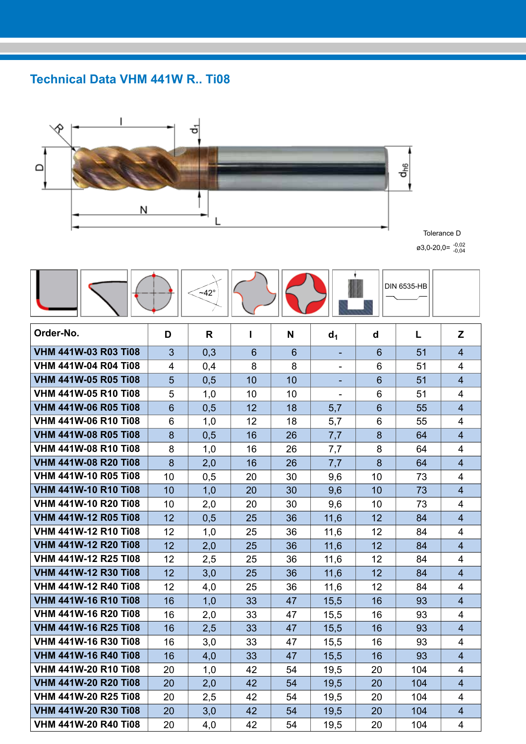### **Technical Data VHM 441W R.. Ti08**



Tolerance D

 $\varnothing$ 3,0-20,0=  $^{-.0,02}_{-.0,04}$ 

|  | $\sim$ 42° | . . | DIN 6535-HB |
|--|------------|-----|-------------|
|--|------------|-----|-------------|

| Order-No.                   | D              | R   | Ш              | N              | d <sub>1</sub>               | d              | L   | Z                       |
|-----------------------------|----------------|-----|----------------|----------------|------------------------------|----------------|-----|-------------------------|
| VHM 441W-03 R03 Ti08        | 3              | 0,3 | $6\phantom{1}$ | $6\phantom{1}$ |                              | $6\phantom{1}$ | 51  | $\overline{4}$          |
| <b>VHM 441W-04 R04 Ti08</b> | 4              | 0,4 | 8              | 8              | $\blacksquare$               | 6              | 51  | 4                       |
| <b>VHM 441W-05 R05 Ti08</b> | 5              | 0,5 | 10             | 10             | ٠                            | $6\phantom{1}$ | 51  | $\overline{4}$          |
| <b>VHM 441W-05 R10 Ti08</b> | 5              | 1,0 | 10             | 10             | $\qquad \qquad \blacksquare$ | 6              | 51  | 4                       |
| VHM 441W-06 R05 Ti08        | $6\phantom{1}$ | 0,5 | 12             | 18             | 5,7                          | $6\phantom{1}$ | 55  | $\overline{4}$          |
| <b>VHM 441W-06 R10 Ti08</b> | 6              | 1,0 | 12             | 18             | 5,7                          | 6              | 55  | 4                       |
| <b>VHM 441W-08 R05 Ti08</b> | 8              | 0,5 | 16             | 26             | 7,7                          | 8              | 64  | $\overline{4}$          |
| VHM 441W-08 R10 Ti08        | 8              | 1,0 | 16             | 26             | 7,7                          | 8              | 64  | 4                       |
| VHM 441W-08 R20 Ti08        | 8              | 2,0 | 16             | 26             | 7,7                          | 8              | 64  | $\overline{4}$          |
| <b>VHM 441W-10 R05 Ti08</b> | 10             | 0,5 | 20             | 30             | 9,6                          | 10             | 73  | 4                       |
| <b>VHM 441W-10 R10 Ti08</b> | 10             | 1,0 | 20             | 30             | 9,6                          | 10             | 73  | $\overline{4}$          |
| VHM 441W-10 R20 Ti08        | 10             | 2,0 | 20             | 30             | 9,6                          | 10             | 73  | 4                       |
| VHM 441W-12 R05 Ti08        | 12             | 0,5 | 25             | 36             | 11,6                         | 12             | 84  | $\overline{4}$          |
| VHM 441W-12 R10 Ti08        | 12             | 1,0 | 25             | 36             | 11,6                         | 12             | 84  | 4                       |
| VHM 441W-12 R20 Ti08        | 12             | 2,0 | 25             | 36             | 11,6                         | 12             | 84  | $\overline{4}$          |
| VHM 441W-12 R25 TI08        | 12             | 2,5 | 25             | 36             | 11,6                         | 12             | 84  | 4                       |
| VHM 441W-12 R30 Ti08        | 12             | 3,0 | 25             | 36             | 11,6                         | 12             | 84  | $\overline{4}$          |
| VHM 441W-12 R40 Ti08        | 12             | 4,0 | 25             | 36             | 11,6                         | 12             | 84  | 4                       |
| <b>VHM 441W-16 R10 Ti08</b> | 16             | 1,0 | 33             | 47             | 15,5                         | 16             | 93  | $\overline{4}$          |
| VHM 441W-16 R20 Ti08        | 16             | 2,0 | 33             | 47             | 15,5                         | 16             | 93  | 4                       |
| VHM 441W-16 R25 Ti08        | 16             | 2,5 | 33             | 47             | 15,5                         | 16             | 93  | $\overline{4}$          |
| VHM 441W-16 R30 Ti08        | 16             | 3,0 | 33             | 47             | 15,5                         | 16             | 93  | 4                       |
| VHM 441W-16 R40 Ti08        | 16             | 4,0 | 33             | 47             | 15,5                         | 16             | 93  | $\overline{4}$          |
| VHM 441W-20 R10 Ti08        | 20             | 1,0 | 42             | 54             | 19,5                         | 20             | 104 | 4                       |
| VHM 441W-20 R20 Ti08        | 20             | 2,0 | 42             | 54             | 19,5                         | 20             | 104 | $\overline{4}$          |
| VHM 441W-20 R25 Ti08        | 20             | 2,5 | 42             | 54             | 19,5                         | 20             | 104 | 4                       |
| VHM 441W-20 R30 Ti08        | 20             | 3,0 | 42             | 54             | 19,5                         | 20             | 104 | $\overline{\mathbf{4}}$ |
| <b>VHM 441W-20 R40 Ti08</b> | 20             | 4,0 | 42             | 54             | 19,5                         | 20             | 104 | $\overline{\mathbf{4}}$ |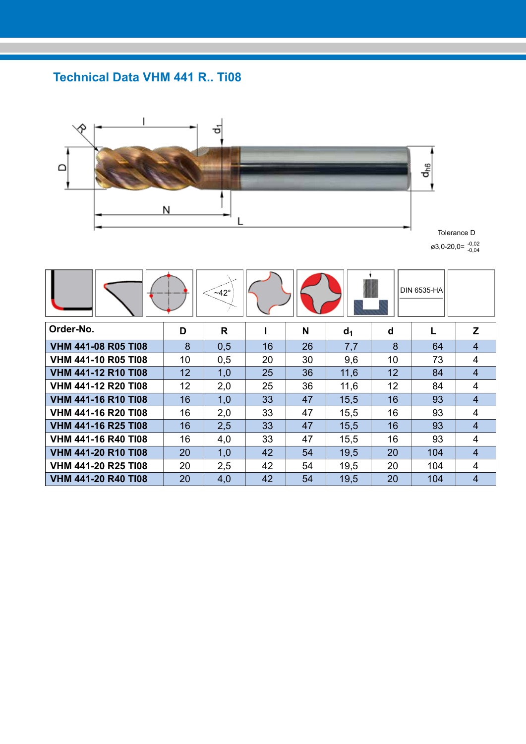## **Technical Data VHM 441 R.. Ti08**



 $\varnothing$ 3,0-20,0=  $^{-.0,02}_{-.0,04}$ 

| $\sim$ 42° |  | DIN 6535-HA |  |
|------------|--|-------------|--|
|            |  |             |  |

| Order-No.                  | D               | R   |    | N  | d <sub>1</sub> | d  |     |                |
|----------------------------|-----------------|-----|----|----|----------------|----|-----|----------------|
| <b>VHM 441-08 R05 TI08</b> | 8               | 0,5 | 16 | 26 | 7,7            | 8  | 64  | 4              |
| <b>VHM 441-10 R05 TI08</b> | 10              | 0,5 | 20 | 30 | 9,6            | 10 | 73  | 4              |
| <b>VHM 441-12 R10 TI08</b> | 12 <sup>°</sup> | 1,0 | 25 | 36 | 11,6           | 12 | 84  | 4              |
| <b>VHM 441-12 R20 TI08</b> | 12 <sub>2</sub> | 2,0 | 25 | 36 | 11,6           | 12 | 84  | 4              |
| <b>VHM 441-16 R10 TI08</b> | 16              | 1,0 | 33 | 47 | 15,5           | 16 | 93  | $\overline{4}$ |
| <b>VHM 441-16 R20 TI08</b> | 16              | 2,0 | 33 | 47 | 15,5           | 16 | 93  | 4              |
| <b>VHM 441-16 R25 T108</b> | 16              | 2,5 | 33 | 47 | 15,5           | 16 | 93  | 4              |
| <b>VHM 441-16 R40 TI08</b> | 16              | 4,0 | 33 | 47 | 15.5           | 16 | 93  | 4              |
| <b>VHM 441-20 R10 TI08</b> | 20              | 1,0 | 42 | 54 | 19,5           | 20 | 104 | 4              |
| VHM 441-20 R25 T108        | 20              | 2,5 | 42 | 54 | 19,5           | 20 | 104 | 4              |
| <b>VHM 441-20 R40 TI08</b> | 20              | 4,0 | 42 | 54 | 19,5           | 20 | 104 |                |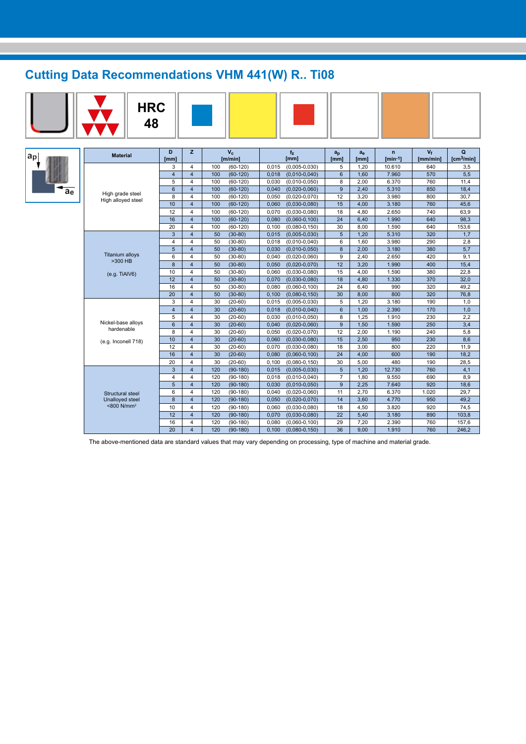## **Cutting Data Recommendations VHM 441(W) R.. Ti08**

| <b>HRC</b><br>4ŏ |  |  |  |  |  |  |
|------------------|--|--|--|--|--|--|
|------------------|--|--|--|--|--|--|

| $a_p$ |                 |
|-------|-----------------|
|       |                 |
|       | $\overline{ae}$ |

| <b>Material</b>           | D              | z                       |     | $V_c$      |       | f <sub>z</sub>    | a <sub>p</sub> | ae   | $\mathsf{n}$ | Vf       | Q                      |
|---------------------------|----------------|-------------------------|-----|------------|-------|-------------------|----------------|------|--------------|----------|------------------------|
|                           | [mm]           |                         |     | [m/min]    |       | [mm]              | [mm]           | [mm] | $[min-1]$    | [mm/min] | [cm <sup>3</sup> /min] |
|                           | 3              | 4                       | 100 | $(60-120)$ | 0,015 | $(0,005-0,030)$   | 5              | 1,20 | 10.610       | 640      | 3,5                    |
|                           | $\overline{4}$ | $\overline{\mathbf{4}}$ | 100 | $(60-120)$ | 0,018 | $(0,010-0,040)$   | $6\phantom{1}$ | 1,60 | 7.960        | 570      | 5,5                    |
|                           | 5              | 4                       | 100 | $(60-120)$ | 0,030 | $(0,010-0,050)$   | 8              | 2,00 | 6.370        | 760      | 11,4                   |
| High grade steel          | 6              | $\overline{\mathbf{4}}$ | 100 | $(60-120)$ | 0.040 | $(0,020-0,060)$   | 9              | 2,40 | 5.310        | 850      | 18,4                   |
| High alloyed steel        | 8              | 4                       | 100 | $(60-120)$ | 0,050 | $(0,020-0,070)$   | 12             | 3,20 | 3.980        | 800      | 30,7                   |
|                           | 10             | $\overline{4}$          | 100 | $(60-120)$ | 0.060 | $(0,030-0,080)$   | 15             | 4,00 | 3.180        | 760      | 45,6                   |
|                           | 12             | 4                       | 100 | $(60-120)$ | 0,070 | $(0,030-0,080)$   | 18             | 4,80 | 2.650        | 740      | 63,9                   |
|                           | 16             | $\overline{4}$          | 100 | $(60-120)$ | 0,080 | $(0,060-0,100)$   | 24             | 6,40 | 1.990        | 640      | 98,3                   |
|                           | 20             | 4                       | 100 | $(60-120)$ | 0,100 | $(0,080-0,150)$   | 30             | 8,00 | 1.590        | 640      | 153,6                  |
|                           | 3              | $\overline{4}$          | 50  | $(30-80)$  | 0,015 | $(0,005 - 0,030)$ | 5              | 1,20 | 5.310        | 320      | 1,7                    |
|                           | 4              | 4                       | 50  | $(30-80)$  | 0.018 | $(0,010-0,040)$   | 6              | 1.60 | 3.980        | 290      | 2.8                    |
|                           | 5              | $\overline{4}$          | 50  | $(30-80)$  | 0,030 | $(0,010-0,050)$   | 8              | 2,00 | 3.180        | 380      | 5,7                    |
| <b>Titanium alloys</b>    | 6              | 4                       | 50  | $(30-80)$  | 0.040 | $(0,020-0,060)$   | 9              | 2,40 | 2.650        | 420      | 9,1                    |
| >300 HB                   | 8              | $\overline{4}$          | 50  | $(30-80)$  | 0.050 | $(0,020-0,070)$   | 12             | 3,20 | 1.990        | 400      | 15,4                   |
| (e.g. TiAlV6)             | 10             | 4                       | 50  | $(30-80)$  | 0,060 | $(0.030 - 0.080)$ | 15             | 4,00 | 1.590        | 380      | 22,8                   |
|                           | 12             | $\overline{4}$          | 50  | $(30-80)$  | 0,070 | $(0,030-0,080)$   | 18             | 4,80 | 1.330        | 370      | 32,0                   |
|                           | 16             | 4                       | 50  | $(30-80)$  | 0,080 | $(0,060-0,100)$   | 24             | 6,40 | 990          | 320      | 49,2                   |
|                           | 20             | $\overline{4}$          | 50  | $(30-80)$  | 0,100 | $(0,080-0,150)$   | 30             | 8,00 | 800          | 320      | 76,8                   |
|                           | 3              | 4                       | 30  | $(20-60)$  | 0,015 | $(0,005-0,030)$   | 5              | 1,20 | 3.180        | 190      | 1,0                    |
|                           | $\overline{4}$ | $\overline{4}$          | 30  | $(20-60)$  | 0,018 | $(0.010 - 0.040)$ | $6\phantom{1}$ | 1,00 | 2.390        | 170      | 1,0                    |
|                           | 5              | 4                       | 30  | $(20-60)$  | 0,030 | $(0,010-0,050)$   | 8              | 1,25 | 1.910        | 230      | 2,2                    |
| Nickel-base alloys        | 6              | $\overline{4}$          | 30  | $(20-60)$  | 0,040 | $(0,020-0,060)$   | 9              | 1,50 | 1.590        | 250      | 3,4                    |
| hardenable                | 8              | $\overline{4}$          | 30  | $(20-60)$  | 0,050 | $(0,020-0,070)$   | 12             | 2,00 | 1.190        | 240      | 5,8                    |
| (e.q. Inconell 718)       | 10             | $\overline{4}$          | 30  | $(20-60)$  | 0,060 | $(0,030-0,080)$   | 15             | 2,50 | 950          | 230      | 8,6                    |
|                           | 12             | 4                       | 30  | $(20-60)$  | 0.070 | $(0.030 - 0.080)$ | 18             | 3.00 | 800          | 220      | 11,9                   |
|                           | 16             | $\overline{\mathbf{4}}$ | 30  | $(20-60)$  | 0,080 | $(0,060-0,100)$   | 24             | 4,00 | 600          | 190      | 18,2                   |
|                           | 20             | 4                       | 30  | $(20-60)$  | 0,100 | $(0,080-0,150)$   | 30             | 5,00 | 480          | 190      | 28,5                   |
|                           | 3              | $\overline{4}$          | 120 | $(90-180)$ | 0.015 | $(0,005-0,030)$   | 5              | 1,20 | 12.730       | 760      | 4,1                    |
|                           | 4              | 4                       | 120 | $(90-180)$ | 0.018 | $(0,010-0,040)$   | $\overline{7}$ | 1,80 | 9.550        | 690      | 8,9                    |
|                           | 5              | $\overline{\mathbf{4}}$ | 120 | $(90-180)$ | 0,030 | $(0,010-0,050)$   | 9              | 2,25 | 7.640        | 920      | 18,6                   |
| Structural steel          | 6              | 4                       | 120 | $(90-180)$ | 0,040 | $(0.020 - 0.060)$ | 11             | 2,70 | 6.370        | 1.020    | 29,7                   |
| Unalloyed steel           | 8              | $\overline{4}$          | 120 | $(90-180)$ | 0,050 | $(0,020-0,070)$   | 14             | 3,60 | 4.770        | 950      | 49,2                   |
| $< 800$ N/mm <sup>2</sup> | 10             | 4                       | 120 | $(90-180)$ | 0,060 | $(0,030-0,080)$   | 18             | 4,50 | 3.820        | 920      | 74,5                   |
|                           | 12             | $\overline{4}$          | 120 | $(90-180)$ | 0.070 | $(0,030-0,080)$   | 22             | 5,40 | 3.180        | 890      | 103.8                  |
|                           | 16             | 4                       | 120 | $(90-180)$ | 0.080 | $(0,060-0,100)$   | 29             | 7,20 | 2.390        | 760      | 157,6                  |
|                           | 20             | 4                       | 120 | $(90-180)$ | 0.100 | $(0,080-0,150)$   | 36             | 9.00 | 1.910        | 760      | 246,2                  |

The above-mentioned data are standard values that may vary depending on processing, type of machine and material grade.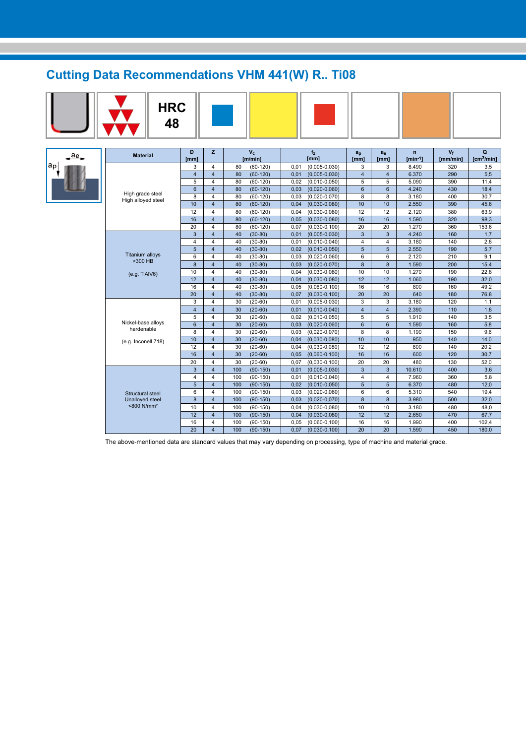## **Cutting Data Recommendations VHM 441(W) R.. Ti08**

|                | <b>HRC</b><br>48        |                     |                         |                                    |                                                    |                     |                         |                |            |                        |
|----------------|-------------------------|---------------------|-------------------------|------------------------------------|----------------------------------------------------|---------------------|-------------------------|----------------|------------|------------------------|
|                | <b>Material</b>         | D                   | z                       | $V_c$                              | f <sub>z</sub>                                     | a <sub>p</sub>      | a <sub>e</sub>          | $\mathbf{r}$   | $V_f$      | $\Omega$               |
| a <sub>e</sub> |                         | [mm]                |                         | [m/min]                            | [mm]                                               | [mm]                | [mm]                    | $[min-1]$      | [mm/min]   | [cm <sup>3</sup> /min] |
| ∄թ∣            |                         | 3                   | 4                       | 80<br>$(60-120)$                   | 0,01<br>$(0,005-0,030)$                            | 3                   | 3                       | 8.490          | 320        | 3,5                    |
|                |                         | $\overline{4}$      | $\overline{4}$          | $(60-120)$<br>80                   | 0,01<br>$(0,005-0,030)$                            | $\overline{4}$      | $\overline{4}$          | 6.370          | 290        | 5,5                    |
|                |                         | 5                   | 4                       | 80<br>$(60-120)$                   | 0,02<br>$(0,010-0,050)$                            | 5                   | 5                       | 5.090          | 390        | 11,4                   |
|                | High grade steel        | 6                   | $\overline{4}$          | $(60-120)$<br>80                   | 0,03<br>$(0,020-0,060)$                            | $6\phantom{1}$      | $6\phantom{a}$          | 4.240          | 430        | 18,4                   |
|                | High alloyed steel      | 8                   | $\overline{4}$          | $(60-120)$<br>80                   | 0,03<br>$(0,020-0,070)$                            | 8                   | 8                       | 3.180          | 400        | 30,7                   |
|                |                         | 10                  | $\overline{4}$          | 80<br>$(60-120)$                   | 0,04<br>$(0,030-0,080)$                            | 10                  | 10                      | 2.550          | 390        | 45,6                   |
|                |                         | 12                  | $\overline{4}$          | 80<br>$(60-120)$                   | 0,04<br>$(0,030-0,080)$                            | 12                  | 12                      | 2.120          | 380        | 63,9                   |
|                |                         | 16                  | $\overline{4}$          | 80<br>$(60-120)$                   | 0,05<br>$(0,030-0,080)$                            | 16                  | 16                      | 1.590          | 320        | 98.3                   |
|                |                         | 20                  | 4<br>$\overline{4}$     | 80<br>$(60-120)$                   | $(0,030-0,100)$<br>0,07                            | 20                  | 20                      | 1.270          | 360        | 153,6                  |
|                |                         | 3<br>$\overline{4}$ | $\overline{4}$          | 40<br>$(30-80)$<br>40<br>$(30-80)$ | $(0,005-0,030)$<br>0,01<br>$(0,010-0,040)$<br>0,01 | 3<br>$\overline{4}$ | 3<br>$\overline{4}$     | 4.240<br>3.180 | 160<br>140 | 1,7<br>2,8             |
|                |                         | 5                   | $\overline{4}$          | 40<br>$(30-80)$                    | 0,02<br>$(0,010-0,050)$                            | 5                   | 5                       | 2.550          | 190        | 5,7                    |
|                | <b>Titanium alloys</b>  | 6                   | $\overline{4}$          | 40<br>$(30-80)$                    | $(0,020-0,060)$<br>0,03                            | 6                   | 6                       | 2.120          | 210        | 9,1                    |
|                | >300 HB                 | $\mathbf{8}$        | $\overline{4}$          | 40<br>$(30-80)$                    | $(0,020-0,070)$<br>0,03                            | $\mathbf{8}$        | $\overline{8}$          | 1.590          | 200        | 15,4                   |
|                |                         | 10                  | 4                       | 40<br>$(30-80)$                    | 0,04<br>$(0.030 - 0.080)$                          | 10                  | 10                      | 1.270          | 190        | 22,8                   |
|                | (e.q. TiAlV6)           | 12                  | $\overline{4}$          | $(30-80)$<br>40                    | 0,04<br>$(0,030-0,080)$                            | 12                  | 12                      | 1.060          | 190        | 32,0                   |
|                |                         | 16                  | $\overline{4}$          | 40<br>$(30-80)$                    | 0,05<br>$(0.060 - 0.100)$                          | 16                  | 16                      | 800            | 160        | 49,2                   |
|                |                         | 20                  | $\overline{4}$          | 40<br>$(30-80)$                    | 0,07<br>$(0,030-0,100)$                            | 20                  | 20                      | 640            | 180        | 76,8                   |
|                |                         | 3                   | $\overline{4}$          | 30<br>$(20-60)$                    | 0,01<br>$(0,005-0,030)$                            | 3                   | 3                       | 3.180          | 120        | 1,1                    |
|                |                         | $\overline{4}$      | $\overline{4}$          | 30<br>$(20-60)$                    | 0,01<br>$(0,010-0,040)$                            | $\overline{4}$      | $\overline{4}$          | 2.390          | 110        | 1,8                    |
|                |                         | 5                   | $\overline{4}$          | 30<br>$(20-60)$                    | 0,02<br>$(0,010-0,050)$                            | 5                   | 5                       | 1.910          | 140        | 3,5                    |
|                | Nickel-base alloys      | $6\overline{6}$     | $\overline{4}$          | 30<br>$(20-60)$                    | 0,03<br>$(0,020-0,060)$                            | $6\phantom{1}$      | $6\phantom{1}$          | 1.590          | 160        | 5,8                    |
|                | hardenable              | 8                   | $\overline{4}$          | $(20-60)$<br>30                    | $(0,020-0,070)$<br>0,03                            | 8                   | 8                       | 1.190          | 150        | 9,6                    |
|                | (e.g. Inconell 718)     | 10                  | $\overline{4}$          | 30<br>$(20-60)$                    | 0,04<br>$(0,030-0,080)$                            | 10                  | 10                      | 950            | 140        | 14,0                   |
|                |                         | 12                  | 4                       | 30<br>$(20-60)$                    | 0,04<br>$(0,030-0,080)$                            | 12                  | 12                      | 800            | 140        | 20,2                   |
|                |                         | 16                  | $\overline{4}$          | 30<br>$(20-60)$                    | 0,05<br>$(0,060-0,100)$                            | 16                  | 16                      | 600            | 120        | 30,7                   |
|                |                         | 20                  | 4                       | 30<br>$(20-60)$                    | 0,07<br>$(0,030-0,100)$                            | 20                  | 20                      | 480            | 130        | 52,0                   |
|                |                         | $\overline{3}$      | $\overline{4}$          | 100<br>$(90-150)$                  | $(0,005-0,030)$<br>0,01                            | $\overline{3}$      | $\overline{3}$          | 10.610         | 400        | 3,6                    |
|                |                         | $\overline{4}$      | $\overline{4}$          | 100<br>$(90-150)$                  | 0,01<br>$(0,010-0,040)$                            | $\overline{4}$      | $\overline{\mathbf{4}}$ | 7.960          | 360        | 5,8                    |
|                |                         | 5 <sup>5</sup>      | $\overline{4}$          | 100<br>$(90-150)$                  | 0,02<br>$(0,010-0,050)$                            | 5                   | 5                       | 6.370          | 480        | 12,0                   |
|                | <b>Structural steel</b> | 6                   | 4                       | 100<br>$(90-150)$                  | $(0,020-0,060)$<br>0,03                            | 6                   | 6                       | 5.310          | 540        | 19,4                   |
|                | Unalloyed steel         | 8                   | $\overline{4}$          | $(90-150)$<br>100                  | $(0,020-0,070)$<br>0,03                            | 8                   | 8                       | 3.980          | 500        | 32.0                   |
|                | <800 N/mm <sup>2</sup>  | 10                  | 4                       | 100<br>$(90-150)$                  | 0,04<br>$(0.030 - 0.080)$                          | 10                  | 10                      | 3.180          | 480        | 48,0                   |
|                |                         | 12                  | $\overline{4}$          | 100<br>$(90-150)$                  | $(0,030-0,080)$<br>0,04                            | 12                  | 12                      | 2.650          | 470        | 67,7                   |
|                |                         | 16                  | $\overline{\mathbf{4}}$ | 100<br>$(90-150)$                  | $(0,060-0,100)$<br>0,05                            | 16                  | 16                      | 1.990          | 400        | 102,4                  |
|                |                         | 20                  | $\overline{\mathbf{A}}$ | 100<br>$(90-150)$                  | 0.07<br>$(0,030-0,100)$                            | 20                  | 20                      | 1.590          | 450        | 180,0                  |

The above-mentioned data are standard values that may vary depending on processing, type of machine and material grade.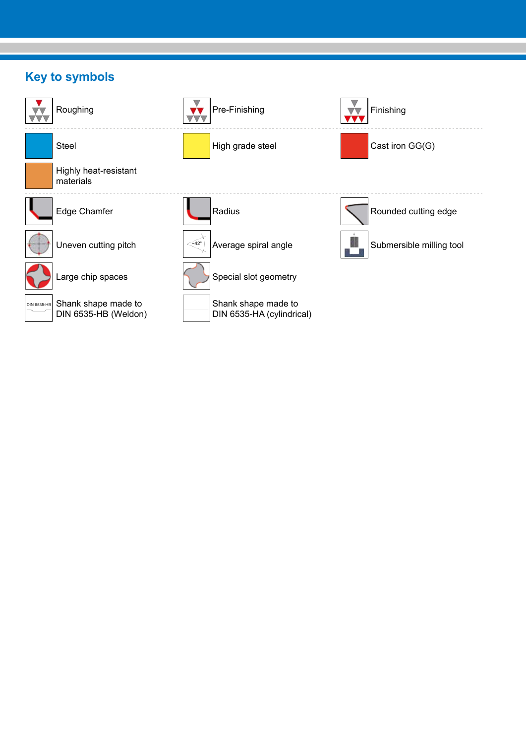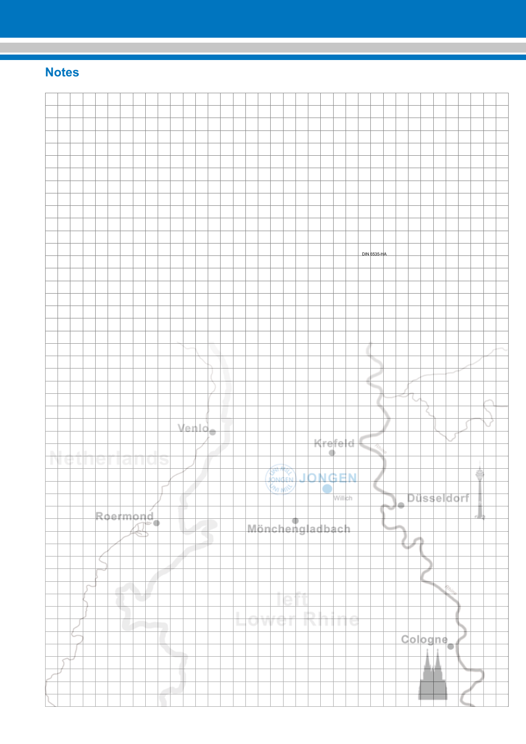#### **Notes**